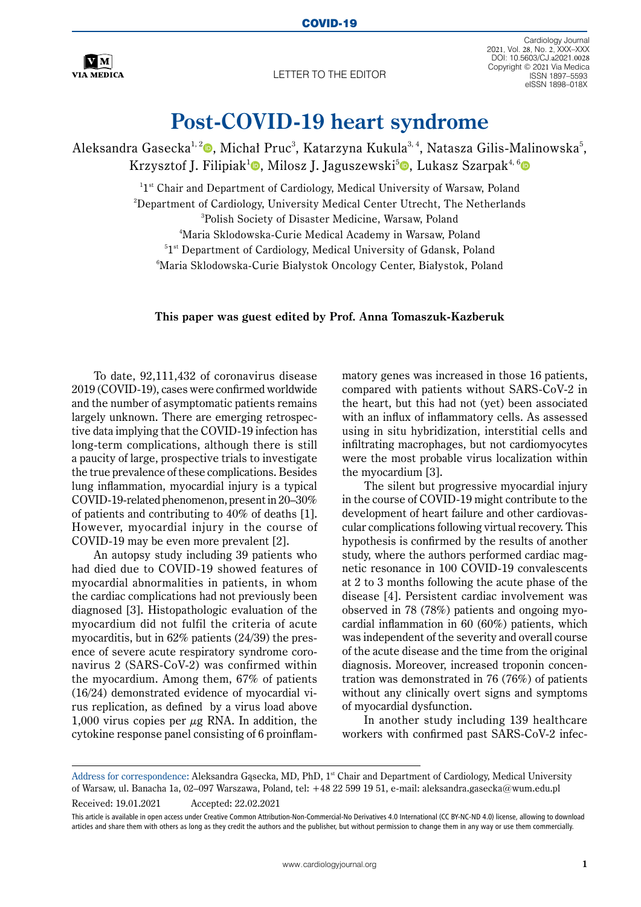

Letter to the editor

Cardiology Journal 2021, Vol. 28, No. 2, XXX–XXX DOI: 10.5603/CJ.a2021.0028 Copyright © 2021 Via Medica ISSN 1897–5593 eISSN 1898–018X

## **Post-COVID-19 heart syndrome**

Aleksandra Gasecka<sup>1, 2</sup>0, Michał Pruc<sup>3</sup>, Katarzyna Kukula<sup>3, 4</sup>, Natasza Gilis-Malinowska<sup>5</sup>, Krzysztof J. Filipiak<sup>[1](https://orcid.org/0000-0002-6563-0877)</sup>**0**, Milosz J. Jaguszewski<sup>5</sup>**0**, Lukasz Szarpak<sup>4, [6](https://orcid.org/0000-0002-0973-5455)</sup>**0** 

> $^{11st}$  Chair and Department of Cardiology, Medical University of Warsaw, Poland  $^{\rm 2}$ Department of Cardiology, University Medical Center Utrecht, The Netherlands 3 Polish Society of Disaster Medicine, Warsaw, Poland 4 Maria Sklodowska-Curie Medical Academy in Warsaw, Poland <sup>5</sup>1<sup>st</sup> Department of Cardiology, Medical University of Gdansk, Poland<br><sup>6</sup>Maria Sklodowska Curie Białystok Oncology Center Białystok, Polan Maria Sklodowska-Curie Białystok Oncology Center, Białystok, Poland

## **This paper was guest edited by Prof. Anna Tomaszuk-Kazberuk**

To date, 92,111,432 of coronavirus disease 2019 (COVID-19), cases were confirmed worldwide and the number of asymptomatic patients remains largely unknown. There are emerging retrospective data implying that the COVID-19 infection has long-term complications, although there is still a paucity of large, prospective trials to investigate the true prevalence of these complications. Besides lung inflammation, myocardial injury is a typical COVID-19-related phenomenon, present in 20–30% of patients and contributing to 40% of deaths [1]. However, myocardial injury in the course of COVID-19 may be even more prevalent [2].

An autopsy study including 39 patients who had died due to COVID-19 showed features of myocardial abnormalities in patients, in whom the cardiac complications had not previously been diagnosed [3]. Histopathologic evaluation of the myocardium did not fulfil the criteria of acute myocarditis, but in 62% patients (24/39) the presence of severe acute respiratory syndrome coronavirus 2 (SARS-CoV-2) was confirmed within the myocardium. Among them, 67% of patients (16/24) demonstrated evidence of myocardial virus replication, as defined by a virus load above 1,000 virus copies per  $\mu$ g RNA. In addition, the cytokine response panel consisting of 6 proinflammatory genes was increased in those 16 patients, compared with patients without SARS-CoV-2 in the heart, but this had not (yet) been associated with an influx of inflammatory cells. As assessed using in situ hybridization, interstitial cells and infiltrating macrophages, but not cardiomyocytes were the most probable virus localization within the myocardium [3].

The silent but progressive myocardial injury in the course of COVID-19 might contribute to the development of heart failure and other cardiovascular complications following virtual recovery. This hypothesis is confirmed by the results of another study, where the authors performed cardiac magnetic resonance in 100 COVID-19 convalescents at 2 to 3 months following the acute phase of the disease [4]. Persistent cardiac involvement was observed in 78 (78%) patients and ongoing myocardial inflammation in 60 (60%) patients, which was independent of the severity and overall course of the acute disease and the time from the original diagnosis. Moreover, increased troponin concentration was demonstrated in 76 (76%) of patients without any clinically overt signs and symptoms of myocardial dysfunction.

In another study including 139 healthcare workers with confirmed past SARS-CoV-2 infec-

Address for correspondence: Aleksandra Gąsecka, MD, PhD, 1<sup>st</sup> Chair and Department of Cardiology, Medical University of Warsaw, ul. Banacha 1a, 02–097 Warszawa, Poland, tel: +48 22 599 19 51, e-mail: aleksandra.gasecka@wum.edu.pl Received: 19.01.2021 Accepted: 22.02.2021

This article is available in open access under Creative Common Attribution-Non-Commercial-No Derivatives 4.0 International (CC BY-NC-ND 4.0) license, allowing to download articles and share them with others as long as they credit the authors and the publisher, but without permission to change them in any way or use them commercially.